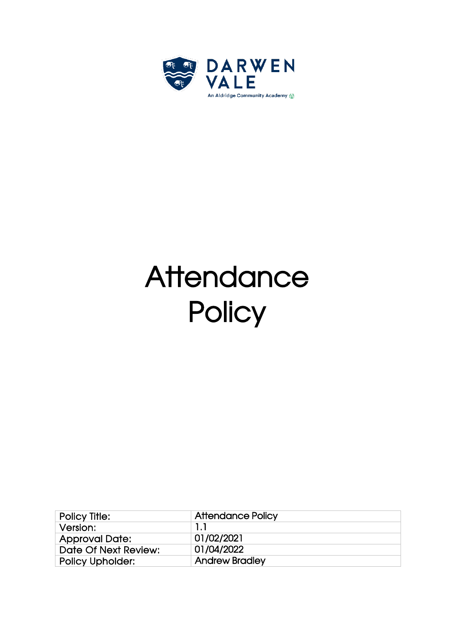

# **Attendance Policy**

| <b>Policy Title:</b>    | <b>Attendance Policy</b> |
|-------------------------|--------------------------|
| Version:                | 11                       |
| <b>Approval Date:</b>   | 01/02/2021               |
| Date Of Next Review:    | 01/04/2022               |
| <b>Policy Upholder:</b> | <b>Andrew Bradley</b>    |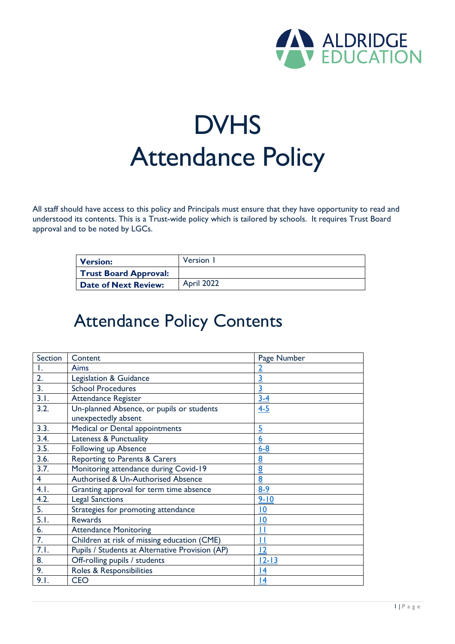

## DVHS Attendance Policy

All staff should have access to this policy and Principals must ensure that they have opportunity to read and understood its contents. This is a Trust-wide policy which is tailored by schools. It requires Trust Board approval and to be noted by LGCs.

| <b>Version:</b>              | Version 1         |
|------------------------------|-------------------|
| <b>Trust Board Approval:</b> |                   |
| <b>Date of Next Review:</b>  | <b>April 2022</b> |

### Attendance Policy Contents

| <b>Section</b> | Content                                                          | Page Number |
|----------------|------------------------------------------------------------------|-------------|
| Ι.             | Aims                                                             |             |
| 2.             | Legislation & Guidance                                           |             |
| 3.             | <b>School Procedures</b>                                         |             |
| 3.1.           | Attendance Register                                              | $3 - 4$     |
| 3.2.           | Un-planned Absence, or pupils or students<br>unexpectedly absent | $4 - 5$     |
| 3.3.           | Medical or Dental appointments                                   | 5           |
| 3.4.           | Lateness & Punctuality                                           | 6           |
| 3.5.           | Following up Absence                                             | $6 - 8$     |
| 3.6.           | Reporting to Parents & Carers                                    | <u>8</u>    |
| 3.7.           | Monitoring attendance during Covid-19                            | 8           |
| 4              | Authorised & Un-Authorised Absence                               | 8           |
| 4.1.           | Granting approval for term time absence                          | $8 - 9$     |
| 4.2.           | <b>Legal Sanctions</b>                                           | $9 - 10$    |
| 5.             | Strategies for promoting attendance                              | 10          |
| 5.1.           | <b>Rewards</b>                                                   | 10          |
| 6.             | <b>Attendance Monitoring</b>                                     | Н           |
| 7.             | Children at risk of missing education (CME)                      | П           |
| 7.1.           | Pupils / Students at Alternative Provision (AP)                  | 12          |
| 8.             | Off-rolling pupils / students                                    | $12 - 13$   |
| 9.             | Roles & Responsibilities                                         | 4           |
| 9.1.           | <b>CEO</b>                                                       | 14          |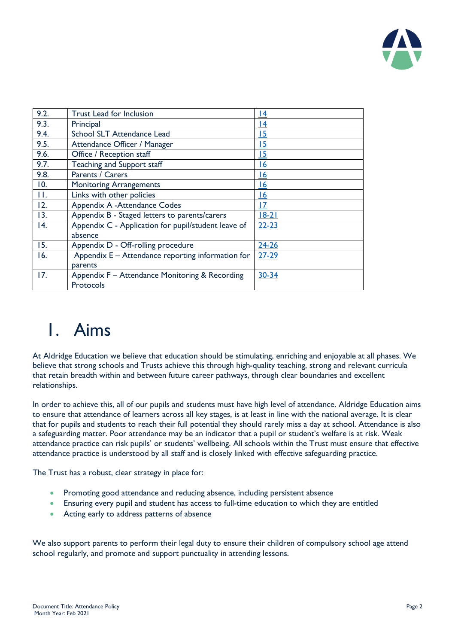

| 9.2. | <b>Trust Lead for Inclusion</b>                     | <u> 4</u>  |
|------|-----------------------------------------------------|------------|
| 9.3. | Principal                                           | <u> 4</u>  |
| 9.4. | School SLT Attendance Lead                          | <u>15</u>  |
| 9.5. | Attendance Officer / Manager                        | <u>15</u>  |
| 9.6. | Office / Reception staff                            | 15         |
| 9.7. | Teaching and Support staff                          | <u> 16</u> |
| 9.8. | Parents / Carers                                    | <u> 16</u> |
| 10.  | <b>Monitoring Arrangements</b>                      | 16         |
| П.   | Links with other policies                           | <u> 16</u> |
| 12.  | Appendix A -Attendance Codes                        | 17         |
| 13.  | Appendix B - Staged letters to parents/carers       | $18 - 21$  |
| 4.   | Appendix C - Application for pupil/student leave of | $22 - 23$  |
|      | absence                                             |            |
| 15.  | Appendix D - Off-rolling procedure                  | $24 - 26$  |
| 16.  | Appendix E - Attendance reporting information for   | 27-29      |
|      | parents                                             |            |
| 17.  | Appendix F – Attendance Monitoring & Recording      | 30-34      |
|      | Protocols                                           |            |

### <span id="page-2-0"></span>1. Aims

At Aldridge Education we believe that education should be stimulating, enriching and enjoyable at all phases. We believe that strong schools and Trusts achieve this through high-quality teaching, strong and relevant curricula that retain breadth within and between future career pathways, through clear boundaries and excellent relationships.

In order to achieve this, all of our pupils and students must have high level of attendance. Aldridge Education aims to ensure that attendance of learners across all key stages, is at least in line with the national average. It is clear that for pupils and students to reach their full potential they should rarely miss a day at school. Attendance is also a safeguarding matter. Poor attendance may be an indicator that a pupil or student's welfare is at risk. Weak attendance practice can risk pupils' or students' wellbeing. All schools within the Trust must ensure that effective attendance practice is understood by all staff and is closely linked with effective safeguarding practice.

The Trust has a robust, clear strategy in place for:

- Promoting good attendance and reducing absence, including persistent absence
- Ensuring every pupil and student has access to full-time education to which they are entitled
- Acting early to address patterns of absence

We also support parents to perform their legal duty to ensure their children of compulsory school age attend school regularly, and promote and support punctuality in attending lessons.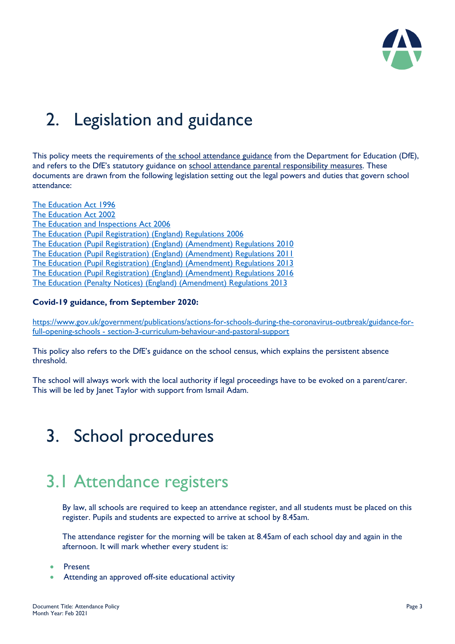

### <span id="page-3-0"></span>2. Legislation and guidance

This policy meets the requirements of [the school attendance guidance](https://www.gov.uk/government/publications/school-attendance) from the Department for Education (DfE), and refers to the DfE's statutory guidance on [school attendance parental responsibility measures.](https://www.gov.uk/government/publications/parental-responsibility-measures-for-behaviour-and-attendance) These documents are drawn from the following legislation setting out the legal powers and duties that govern school attendance:

[The Education Act 1996](https://www.legislation.gov.uk/ukpga/1996/56/part/VI/chapter/II)  [The Education Act 2002](http://www.legislation.gov.uk/ukpga/2002/32/part/3/chapter/3)  [The Education and Inspections Act 2006](http://www.legislation.gov.uk/ukpga/2006/40/part/7/chapter/2/crossheading/school-attendance)  [The Education \(Pupil Registration\) \(England\) Regulations 2006](http://www.legislation.gov.uk/uksi/2006/1751/contents/made)  [The Education \(Pupil Registration\) \(England\) \(Amendment\) Regulations 2010](http://www.legislation.gov.uk/uksi/2010/1725/contents/made)  [The Education \(Pupil Registration\) \(England\) \(Amendment\) Regulations 2011](http://www.legislation.gov.uk/uksi/2011/1625/contents/made) [The Education \(Pupil Registration\) \(England\) \(Amendment\) Regulations 2013](http://www.legislation.gov.uk/uksi/2013/756/contents/made)  The Education (Pupil Registration) [\(England\) \(Amendment\) Regulations 2016](http://www.legislation.gov.uk/uksi/2016/792/contents/made) [The Education \(Penalty Notices\) \(England\) \(Amendment\) Regulations 2013](http://www.legislation.gov.uk/uksi/2013/757/contents/made) 

#### **Covid-19 guidance, from September 2020:**

[https://www.gov.uk/government/publications/actions-for-schools-during-the-coronavirus-outbreak/guidance-for](https://www.gov.uk/government/publications/actions-for-schools-during-the-coronavirus-outbreak/guidance-for-full-opening-schools#section-3-curriculum-behaviour-and-pastoral-support)[full-opening-schools - section-3-curriculum-behaviour-and-pastoral-support](https://www.gov.uk/government/publications/actions-for-schools-during-the-coronavirus-outbreak/guidance-for-full-opening-schools#section-3-curriculum-behaviour-and-pastoral-support)

This policy also refers to the DfE's guidance on the school census, which explains the persistent absence threshold.

The school will always work with the local authority if legal proceedings have to be evoked on a parent/carer. This will be led by Janet Taylor with support from Ismail Adam.

### <span id="page-3-1"></span>3. School procedures

### <span id="page-3-2"></span>3.1 Attendance registers

By law, all schools are required to keep an attendance register, and all students must be placed on this register. Pupils and students are expected to arrive at school by 8.45am.

The attendance register for the morning will be taken at 8.45am of each school day and again in the afternoon. It will mark whether every student is:

- Present
- Attending an approved off-site educational activity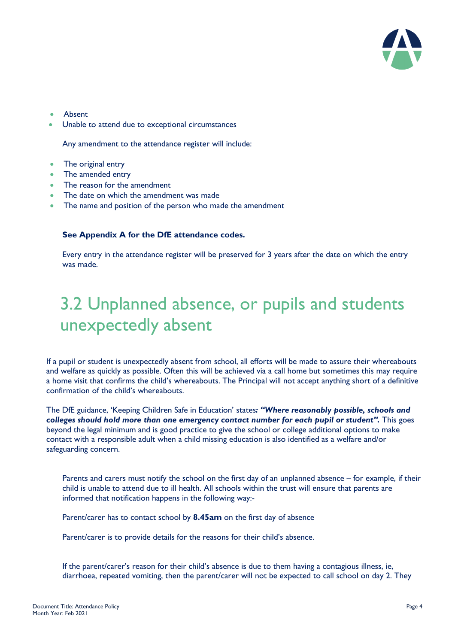

- Absent
- Unable to attend due to exceptional circumstances

Any amendment to the attendance register will include:

- The original entry
- The amended entry
- The reason for the amendment
- The date on which the amendment was made
- The name and position of the person who made the amendment

#### **See Appendix A for the DfE attendance codes.**

Every entry in the attendance register will be preserved for 3 years after the date on which the entry was made.

### <span id="page-4-0"></span>3.2 Unplanned absence, or pupils and students unexpectedly absent

If a pupil or student is unexpectedly absent from school, all efforts will be made to assure their whereabouts and welfare as quickly as possible. Often this will be achieved via a call home but sometimes this may require a home visit that confirms the child's whereabouts. The Principal will not accept anything short of a definitive confirmation of the child's whereabouts.

The DfE guidance, 'Keeping Children Safe in Education' states*: ''Where reasonably possible, schools and colleges should hold more than one emergency contact number for each pupil or student".* This goes beyond the legal minimum and is good practice to give the school or college additional options to make contact with a responsible adult when a child missing education is also identified as a welfare and/or safeguarding concern.

Parents and carers must notify the school on the first day of an unplanned absence – for example, if their child is unable to attend due to ill health. All schools within the trust will ensure that parents are informed that notification happens in the following way:-

Parent/carer has to contact school by **8.45am** on the first day of absence

Parent/carer is to provide details for the reasons for their child's absence.

If the parent/carer's reason for their child's absence is due to them having a contagious illness, ie, diarrhoea, repeated vomiting, then the parent/carer will not be expected to call school on day 2. They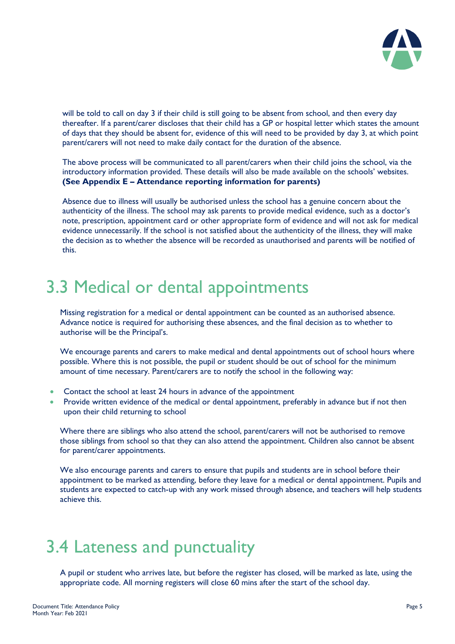

will be told to call on day 3 if their child is still going to be absent from school, and then every day thereafter. If a parent/carer discloses that their child has a GP or hospital letter which states the amount of days that they should be absent for, evidence of this will need to be provided by day 3, at which point parent/carers will not need to make daily contact for the duration of the absence.

The above process will be communicated to all parent/carers when their child joins the school, via the introductory information provided. These details will also be made available on the schools' websites. **(See Appendix E – Attendance reporting information for parents)** 

Absence due to illness will usually be authorised unless the school has a genuine concern about the authenticity of the illness. The school may ask parents to provide medical evidence, such as a doctor's note, prescription, appointment card or other appropriate form of evidence and will not ask for medical evidence unnecessarily. If the school is not satisfied about the authenticity of the illness, they will make the decision as to whether the absence will be recorded as unauthorised and parents will be notified of this.

### <span id="page-5-0"></span>3.3 Medical or dental appointments

Missing registration for a medical or dental appointment can be counted as an authorised absence. Advance notice is required for authorising these absences, and the final decision as to whether to authorise will be the Principal's.

We encourage parents and carers to make medical and dental appointments out of school hours where possible. Where this is not possible, the pupil or student should be out of school for the minimum amount of time necessary. Parent/carers are to notify the school in the following way:

- Contact the school at least 24 hours in advance of the appointment
- Provide written evidence of the medical or dental appointment, preferably in advance but if not then upon their child returning to school

Where there are siblings who also attend the school, parent/carers will not be authorised to remove those siblings from school so that they can also attend the appointment. Children also cannot be absent for parent/carer appointments.

We also encourage parents and carers to ensure that pupils and students are in school before their appointment to be marked as attending, before they leave for a medical or dental appointment. Pupils and students are expected to catch-up with any work missed through absence, and teachers will help students achieve this.

### <span id="page-5-1"></span>3.4 Lateness and punctuality

A pupil or student who arrives late, but before the register has closed, will be marked as late, using the appropriate code. All morning registers will close 60 mins after the start of the school day.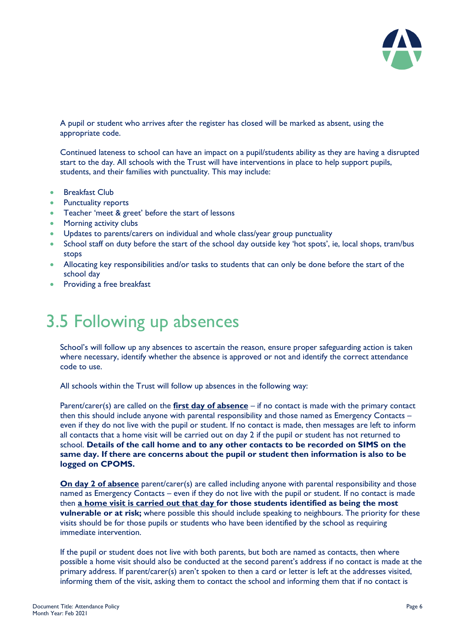

A pupil or student who arrives after the register has closed will be marked as absent, using the appropriate code.

Continued lateness to school can have an impact on a pupil/students ability as they are having a disrupted start to the day. All schools with the Trust will have interventions in place to help support pupils, students, and their families with punctuality. This may include:

- Breakfast Club
- Punctuality reports
- Teacher 'meet & greet' before the start of lessons
- Morning activity clubs
- Updates to parents/carers on individual and whole class/year group punctuality
- School staff on duty before the start of the school day outside key 'hot spots', ie, local shops, tram/bus stops
- Allocating key responsibilities and/or tasks to students that can only be done before the start of the school day
- Providing a free breakfast

### <span id="page-6-0"></span>3.5 Following up absences

School's will follow up any absences to ascertain the reason, ensure proper safeguarding action is taken where necessary, identify whether the absence is approved or not and identify the correct attendance code to use.

All schools within the Trust will follow up absences in the following way:

Parent/carer(s) are called on the **first day of absence** – if no contact is made with the primary contact then this should include anyone with parental responsibility and those named as Emergency Contacts – even if they do not live with the pupil or student. If no contact is made, then messages are left to inform all contacts that a home visit will be carried out on day 2 if the pupil or student has not returned to school. **Details of the call home and to any other contacts to be recorded on SIMS on the same day. If there are concerns about the pupil or student then information is also to be logged on CPOMS.**

**On day 2 of absence** parent/carer(s) are called including anyone with parental responsibility and those named as Emergency Contacts – even if they do not live with the pupil or student. If no contact is made then **a home visit is carried out that day for those students identified as being the most vulnerable or at risk;** where possible this should include speaking to neighbours. The priority for these visits should be for those pupils or students who have been identified by the school as requiring immediate intervention.

If the pupil or student does not live with both parents, but both are named as contacts, then where possible a home visit should also be conducted at the second parent's address if no contact is made at the primary address. If parent/carer(s) aren't spoken to then a card or letter is left at the addresses visited, informing them of the visit, asking them to contact the school and informing them that if no contact is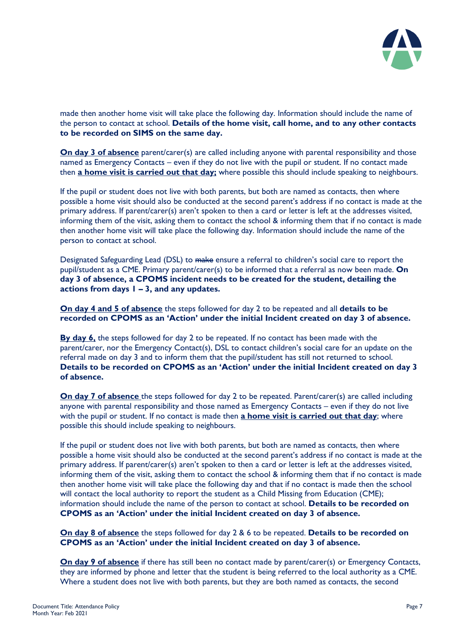

made then another home visit will take place the following day. Information should include the name of the person to contact at school. **Details of the home visit, call home, and to any other contacts to be recorded on SIMS on the same day.**

**On day 3 of absence** parent/carer(s) are called including anyone with parental responsibility and those named as Emergency Contacts – even if they do not live with the pupil or student. If no contact made then **a home visit is carried out that day;** where possible this should include speaking to neighbours.

If the pupil or student does not live with both parents, but both are named as contacts, then where possible a home visit should also be conducted at the second parent's address if no contact is made at the primary address. If parent/carer(s) aren't spoken to then a card or letter is left at the addresses visited, informing them of the visit, asking them to contact the school & informing them that if no contact is made then another home visit will take place the following day. Information should include the name of the person to contact at school.

Designated Safeguarding Lead (DSL) to make ensure a referral to children's social care to report the pupil/student as a CME. Primary parent/carer(s) to be informed that a referral as now been made. **On day 3 of absence, a CPOMS incident needs to be created for the student, detailing the actions from days 1 – 3, and any updates.**

**On day 4 and 5 of absence** the steps followed for day 2 to be repeated and all **details to be recorded on CPOMS as an 'Action' under the initial Incident created on day 3 of absence.**

**By day 6,** the steps followed for day 2 to be repeated. If no contact has been made with the parent/carer, nor the Emergency Contact(s), DSL to contact children's social care for an update on the referral made on day 3 and to inform them that the pupil/student has still not returned to school. **Details to be recorded on CPOMS as an 'Action' under the initial Incident created on day 3 of absence.**

**On day 7 of absence** the steps followed for day 2 to be repeated. Parent/carer(s) are called including anyone with parental responsibility and those named as Emergency Contacts – even if they do not live with the pupil or student. If no contact is made then **a home visit is carried out that day**; where possible this should include speaking to neighbours.

If the pupil or student does not live with both parents, but both are named as contacts, then where possible a home visit should also be conducted at the second parent's address if no contact is made at the primary address. If parent/carer(s) aren't spoken to then a card or letter is left at the addresses visited, informing them of the visit, asking them to contact the school & informing them that if no contact is made then another home visit will take place the following day and that if no contact is made then the school will contact the local authority to report the student as a Child Missing from Education (CME); information should include the name of the person to contact at school. **Details to be recorded on CPOMS as an 'Action' under the initial Incident created on day 3 of absence.**

**On day 8 of absence** the steps followed for day 2 & 6 to be repeated. **Details to be recorded on CPOMS as an 'Action' under the initial Incident created on day 3 of absence.**

**On day 9 of absence** if there has still been no contact made by parent/carer(s) or Emergency Contacts, they are informed by phone and letter that the student is being referred to the local authority as a CME. Where a student does not live with both parents, but they are both named as contacts, the second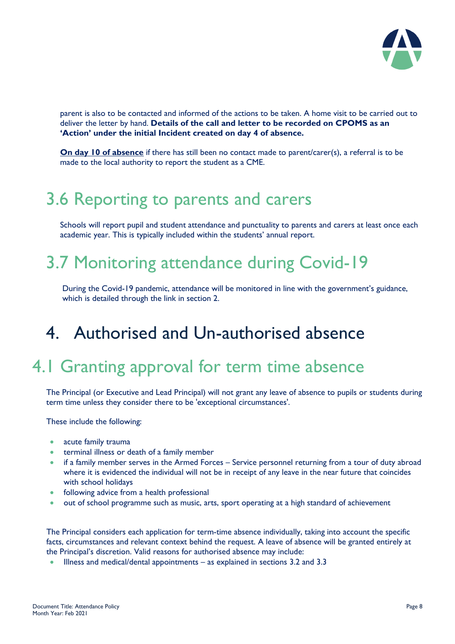

parent is also to be contacted and informed of the actions to be taken. A home visit to be carried out to deliver the letter by hand. **Details of the call and letter to be recorded on CPOMS as an 'Action' under the initial Incident created on day 4 of absence.**

**On day 10 of absence** if there has still been no contact made to parent/carer(s), a referral is to be made to the local authority to report the student as a CME.

### <span id="page-8-0"></span>3.6 Reporting to parents and carers

Schools will report pupil and student attendance and punctuality to parents and carers at least once each academic year. This is typically included within the students' annual report.

### <span id="page-8-1"></span>3.7 Monitoring attendance during Covid-19

During the Covid-19 pandemic, attendance will be monitored in line with the government's guidance, which is detailed through the link in section 2.

### <span id="page-8-2"></span>4. Authorised and Un-authorised absence

### <span id="page-8-3"></span>4.1 Granting approval for term time absence

The Principal (or Executive and Lead Principal) will not grant any leave of absence to pupils or students during term time unless they consider there to be 'exceptional circumstances'.

These include the following:

- acute family trauma
- terminal illness or death of a family member
- if a family member serves in the Armed Forces Service personnel returning from a tour of duty abroad where it is evidenced the individual will not be in receipt of any leave in the near future that coincides with school holidays
- following advice from a health professional
- out of school programme such as music, arts, sport operating at a high standard of achievement

The Principal considers each application for term-time absence individually, taking into account the specific facts, circumstances and relevant context behind the request. A leave of absence will be granted entirely at the Principal's discretion. Valid reasons for authorised absence may include:

• Illness and medical/dental appointments – as explained in sections 3.2 and 3.3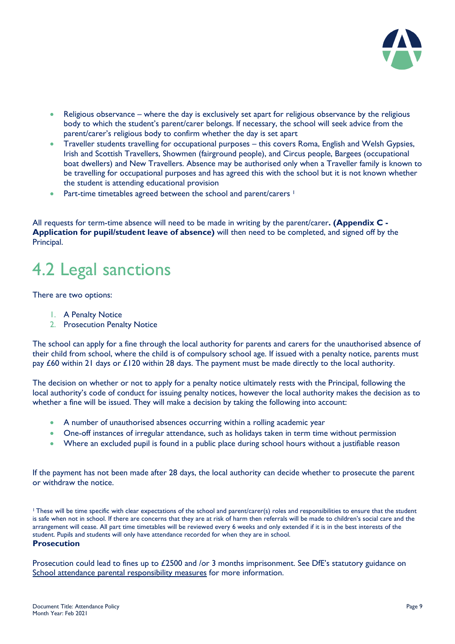

- Religious observance where the day is exclusively set apart for religious observance by the religious body to which the student's parent/carer belongs. If necessary, the school will seek advice from the parent/carer's religious body to confirm whether the day is set apart
- Traveller students travelling for occupational purposes this covers Roma, English and Welsh Gypsies, Irish and Scottish Travellers, Showmen (fairground people), and Circus people, Bargees (occupational boat dwellers) and New Travellers. Absence may be authorised only when a Traveller family is known to be travelling for occupational purposes and has agreed this with the school but it is not known whether the student is attending educational provision
- Part-time timetables agreed between the school and parent/carers 1

All requests for term-time absence will need to be made in writing by the parent/carer**. (Appendix C - Application for pupil/student leave of absence)** will then need to be completed, and signed off by the Principal.

### <span id="page-9-0"></span>4.2 Legal sanctions

There are two options:

- 1. A Penalty Notice
- 2. Prosecution Penalty Notice

The school can apply for a fine through the local authority for parents and carers for the unauthorised absence of their child from school, where the child is of compulsory school age. If issued with a penalty notice, parents must pay £60 within 21 days or £120 within 28 days. The payment must be made directly to the local authority.

The decision on whether or not to apply for a penalty notice ultimately rests with the Principal, following the local authority's code of conduct for issuing penalty notices, however the local authority makes the decision as to whether a fine will be issued. They will make a decision by taking the following into account:

- A number of unauthorised absences occurring within a rolling academic year
- One-off instances of irregular attendance, such as holidays taken in term time without permission
- Where an excluded pupil is found in a public place during school hours without a justifiable reason

If the payment has not been made after 28 days, the local authority can decide whether to prosecute the parent or withdraw the notice.

<sup>1</sup> These will be time specific with clear expectations of the school and parent/carer(s) roles and responsibilities to ensure that the student is safe when not in school. If there are concerns that they are at risk of harm then referrals will be made to children's social care and the arrangement will cease. All part time timetables will be reviewed every 6 weeks and only extended if it is in the best interests of the student. Pupils and students will only have attendance recorded for when they are in school. **Prosecution** 

Prosecution could lead to fines up to £2500 and /or 3 months imprisonment. See DfE's statutory guidance on [School attendance parental responsibility measures](https://www.gov.uk/government/publications/parental-responsibility-measures-for-behaviour-and-attendance) for more information.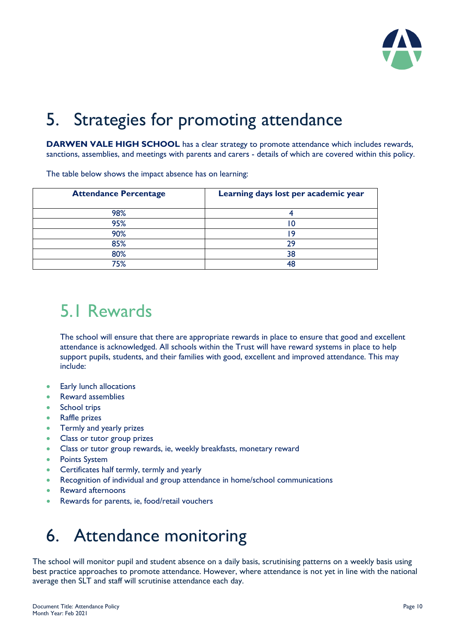

### <span id="page-10-0"></span>5. Strategies for promoting attendance

**DARWEN VALE HIGH SCHOOL** has a clear strategy to promote attendance which includes rewards, sanctions, assemblies, and meetings with parents and carers - details of which are covered within this policy.

The table below shows the impact absence has on learning:

| <b>Attendance Percentage</b> | Learning days lost per academic year |
|------------------------------|--------------------------------------|
| 98%                          |                                      |
| 95%                          |                                      |
| 90%                          | Q                                    |
| 85%                          | 29                                   |
| 80%                          | 38                                   |
| 75%                          | 48                                   |

### <span id="page-10-1"></span>5.1 Rewards

The school will ensure that there are appropriate rewards in place to ensure that good and excellent attendance is acknowledged. All schools within the Trust will have reward systems in place to help support pupils, students, and their families with good, excellent and improved attendance. This may include:

- **Early lunch allocations**
- Reward assemblies
- School trips
- Raffle prizes
- Termly and yearly prizes
- Class or tutor group prizes
- Class or tutor group rewards, ie, weekly breakfasts, monetary reward
- Points System
- Certificates half termly, termly and yearly
- Recognition of individual and group attendance in home/school communications
- Reward afternoons
- Rewards for parents, ie, food/retail vouchers

### <span id="page-10-2"></span>6. Attendance monitoring

The school will monitor pupil and student absence on a daily basis, scrutinising patterns on a weekly basis using best practice approaches to promote attendance. However, where attendance is not yet in line with the national average then SLT and staff will scrutinise attendance each day.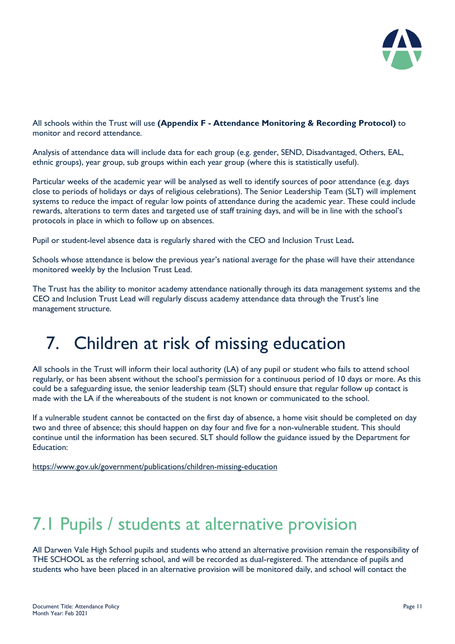

All schools within the Trust will use **(Appendix F - Attendance Monitoring & Recording Protocol)** to monitor and record attendance.

Analysis of attendance data will include data for each group (e.g. gender, SEND, Disadvantaged, Others, EAL, ethnic groups), year group, sub groups within each year group (where this is statistically useful).

Particular weeks of the academic year will be analysed as well to identify sources of poor attendance (e.g. days close to periods of holidays or days of religious celebrations). The Senior Leadership Team (SLT) will implement systems to reduce the impact of regular low points of attendance during the academic year. These could include rewards, alterations to term dates and targeted use of staff training days, and will be in line with the school's protocols in place in which to follow up on absences.

Pupil or student-level absence data is regularly shared with the CEO and Inclusion Trust Lead**.** 

Schools whose attendance is below the previous year's national average for the phase will have their attendance monitored weekly by the Inclusion Trust Lead.

The Trust has the ability to monitor academy attendance nationally through its data management systems and the CEO and Inclusion Trust Lead will regularly discuss academy attendance data through the Trust's line management structure.

### <span id="page-11-0"></span>7. Children at risk of missing education

All schools in the Trust will inform their local authority (LA) of any pupil or student who fails to attend school regularly, or has been absent without the school's permission for a continuous period of 10 days or more. As this could be a safeguarding issue, the senior leadership team (SLT) should ensure that regular follow up contact is made with the LA if the whereabouts of the student is not known or communicated to the school.

If a vulnerable student cannot be contacted on the first day of absence, a home visit should be completed on day two and three of absence; this should happen on day four and five for a non-vulnerable student. This should continue until the information has been secured. SLT should follow the guidance issued by the Department for Education:

<https://www.gov.uk/government/publications/children-missing-education>

### <span id="page-11-1"></span>7.1 Pupils / students at alternative provision

All Darwen Vale High School pupils and students who attend an alternative provision remain the responsibility of THE SCHOOL as the referring school, and will be recorded as dual-registered. The attendance of pupils and students who have been placed in an alternative provision will be monitored daily, and school will contact the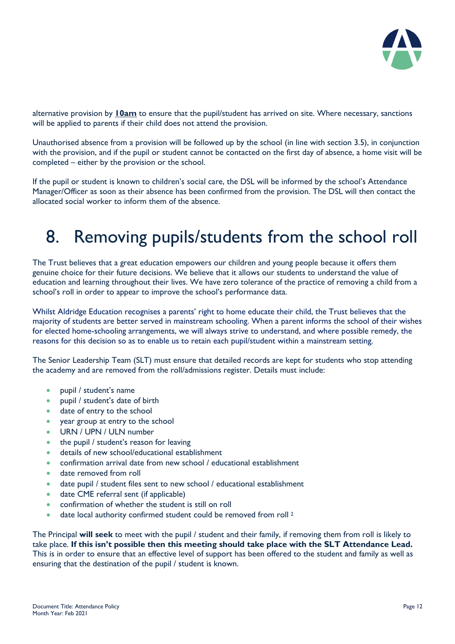

alternative provision by **10am** to ensure that the pupil/student has arrived on site. Where necessary, sanctions will be applied to parents if their child does not attend the provision.

Unauthorised absence from a provision will be followed up by the school (in line with section 3.5), in conjunction with the provision, and if the pupil or student cannot be contacted on the first day of absence, a home visit will be completed – either by the provision or the school.

If the pupil or student is known to children's social care, the DSL will be informed by the school's Attendance Manager/Officer as soon as their absence has been confirmed from the provision. The DSL will then contact the allocated social worker to inform them of the absence.

### <span id="page-12-0"></span>8. Removing pupils/students from the school roll

The Trust believes that a great education empowers our children and young people because it offers them genuine choice for their future decisions. We believe that it allows our students to understand the value of education and learning throughout their lives. We have zero tolerance of the practice of removing a child from a school's roll in order to appear to improve the school's performance data.

Whilst Aldridge Education recognises a parents' right to home educate their child, the Trust believes that the majority of students are better served in mainstream schooling. When a parent informs the school of their wishes for elected home-schooling arrangements, we will always strive to understand, and where possible remedy, the reasons for this decision so as to enable us to retain each pupil/student within a mainstream setting.

The Senior Leadership Team (SLT) must ensure that detailed records are kept for students who stop attending the academy and are removed from the roll/admissions register. Details must include:

- pupil / student's name
- pupil / student's date of birth
- date of entry to the school
- year group at entry to the school
- URN / UPN / ULN number
- the pupil / student's reason for leaving
- details of new school/educational establishment
- confirmation arrival date from new school / educational establishment
- date removed from roll
- date pupil / student files sent to new school / educational establishment
- date CME referral sent (if applicable)
- confirmation of whether the student is still on roll
- date local authority confirmed student could be removed from roll <sup>2</sup>

The Principal **will seek** to meet with the pupil / student and their family, if removing them from roll is likely to take place. **If this isn't possible then this meeting should take place with the SLT Attendance Lead.** This is in order to ensure that an effective level of support has been offered to the student and family as well as ensuring that the destination of the pupil / student is known.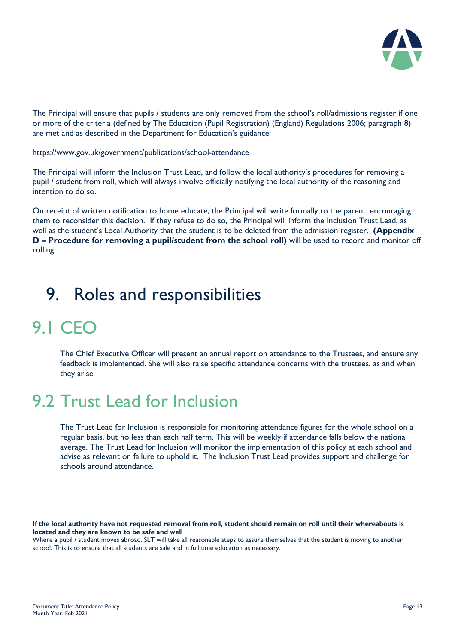

The Principal will ensure that pupils / students are only removed from the school's roll/admissions register if one or more of the criteria (defined by The Education (Pupil Registration) (England) Regulations 2006; paragraph 8) are met and as described in the Department for Education's guidance:

<https://www.gov.uk/government/publications/school-attendance>

The Principal will inform the Inclusion Trust Lead, and follow the local authority's procedures for removing a pupil / student from roll, which will always involve officially notifying the local authority of the reasoning and intention to do so.

On receipt of written notification to home educate, the Principal will write formally to the parent, encouraging them to reconsider this decision. If they refuse to do so, the Principal will inform the Inclusion Trust Lead, as well as the student's Local Authority that the student is to be deleted from the admission register. **(Appendix D – Procedure for removing a pupil/student from the school roll)** will be used to record and monitor off rolling.

### <span id="page-13-0"></span>9. Roles and responsibilities

### <span id="page-13-1"></span>9.1 CEO

The Chief Executive Officer will present an annual report on attendance to the Trustees, and ensure any feedback is implemented. She will also raise specific attendance concerns with the trustees, as and when they arise.

### <span id="page-13-2"></span>9.2 Trust Lead for Inclusion

The Trust Lead for Inclusion is responsible for monitoring attendance figures for the whole school on a regular basis, but no less than each half term. This will be weekly if attendance falls below the national average. The Trust Lead for Inclusion will monitor the implementation of this policy at each school and advise as relevant on failure to uphold it. The Inclusion Trust Lead provides support and challenge for schools around attendance.

**If the local authority have not requested removal from roll, student should remain on roll until their whereabouts is located and they are known to be safe and well**

Where a pupil / student moves abroad, SLT will take all reasonable steps to assure themselves that the student is moving to another school. This is to ensure that all students are safe and in full time education as necessary.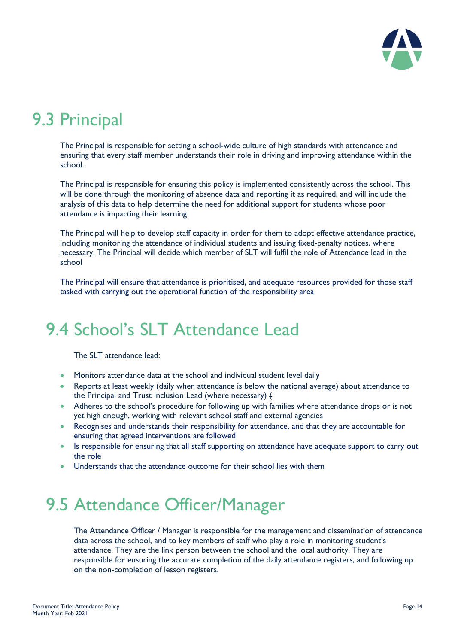

### <span id="page-14-0"></span>9.3 Principal

The Principal is responsible for setting a school-wide culture of high standards with attendance and ensuring that every staff member understands their role in driving and improving attendance within the school.

The Principal is responsible for ensuring this policy is implemented consistently across the school. This will be done through the monitoring of absence data and reporting it as required, and will include the analysis of this data to help determine the need for additional support for students whose poor attendance is impacting their learning.

The Principal will help to develop staff capacity in order for them to adopt effective attendance practice, including monitoring the attendance of individual students and issuing fixed-penalty notices, where necessary. The Principal will decide which member of SLT will fulfil the role of Attendance lead in the school

The Principal will ensure that attendance is prioritised, and adequate resources provided for those staff tasked with carrying out the operational function of the responsibility area

### <span id="page-14-1"></span>9.4 School's SLT Attendance Lead

The SLT attendance lead:

- Monitors attendance data at the school and individual student level daily
- Reports at least weekly (daily when attendance is below the national average) about attendance to the Principal and Trust Inclusion Lead (where necessary) (
- Adheres to the school's procedure for following up with families where attendance drops or is not yet high enough, working with relevant school staff and external agencies
- Recognises and understands their responsibility for attendance, and that they are accountable for ensuring that agreed interventions are followed
- Is responsible for ensuring that all staff supporting on attendance have adequate support to carry out the role
- Understands that the attendance outcome for their school lies with them

### <span id="page-14-2"></span>9.5 Attendance Officer/Manager

The Attendance Officer / Manager is responsible for the management and dissemination of attendance data across the school, and to key members of staff who play a role in monitoring student's attendance. They are the link person between the school and the local authority. They are responsible for ensuring the accurate completion of the daily attendance registers, and following up on the non-completion of lesson registers.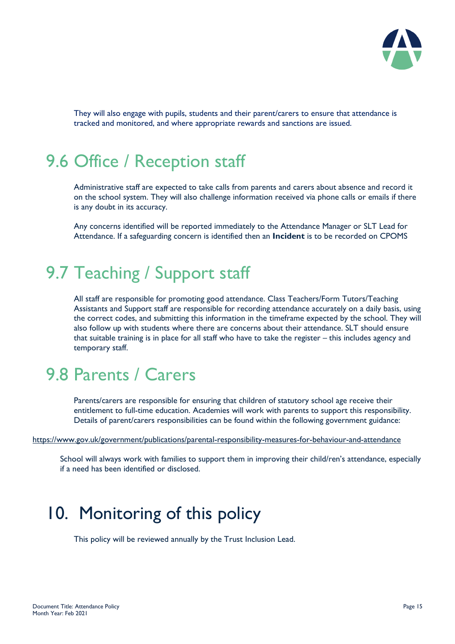

They will also engage with pupils, students and their parent/carers to ensure that attendance is tracked and monitored, and where appropriate rewards and sanctions are issued.

### <span id="page-15-0"></span>9.6 Office / Reception staff

Administrative staff are expected to take calls from parents and carers about absence and record it on the school system. They will also challenge information received via phone calls or emails if there is any doubt in its accuracy.

Any concerns identified will be reported immediately to the Attendance Manager or SLT Lead for Attendance. If a safeguarding concern is identified then an **Incident** is to be recorded on CPOMS

### <span id="page-15-1"></span>9.7 Teaching / Support staff

All staff are responsible for promoting good attendance. Class Teachers/Form Tutors/Teaching Assistants and Support staff are responsible for recording attendance accurately on a daily basis, using the correct codes, and submitting this information in the timeframe expected by the school. They will also follow up with students where there are concerns about their attendance. SLT should ensure that suitable training is in place for all staff who have to take the register – this includes agency and temporary staff.

### <span id="page-15-2"></span>9.8 Parents / Carers

Parents/carers are responsible for ensuring that children of statutory school age receive their entitlement to full-time education. Academies will work with parents to support this responsibility. Details of parent/carers responsibilities can be found within the following government guidance:

<https://www.gov.uk/government/publications/parental-responsibility-measures-for-behaviour-and-attendance>

School will always work with families to support them in improving their child/ren's attendance, especially if a need has been identified or disclosed.

### <span id="page-15-3"></span>10. Monitoring of this policy

This policy will be reviewed annually by the Trust Inclusion Lead.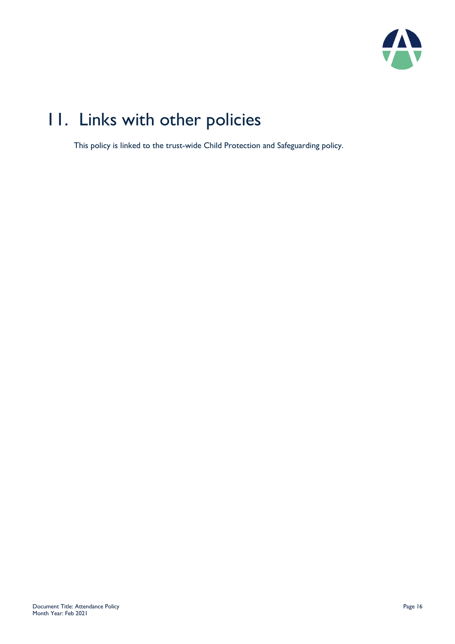

## <span id="page-16-0"></span>11. Links with other policies

This policy is linked to the trust-wide Child Protection and Safeguarding policy.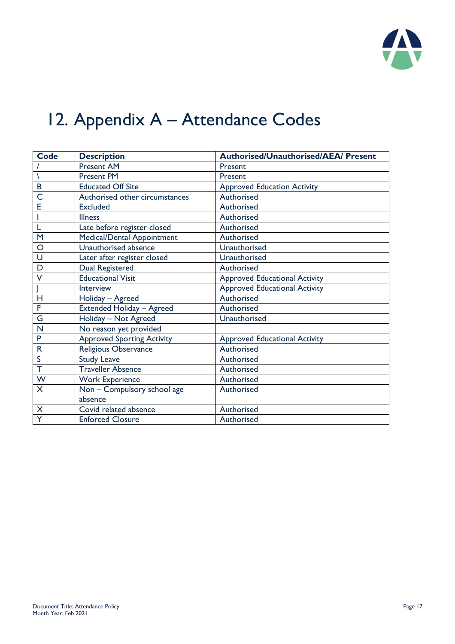

### 12. Appendix A – Attendance Codes

| Code           | <b>Description</b>                | <b>Authorised/Unauthorised/AEA/ Present</b> |
|----------------|-----------------------------------|---------------------------------------------|
|                | <b>Present AM</b>                 | Present                                     |
|                | <b>Present PM</b>                 | Present                                     |
| B              | <b>Educated Off Site</b>          | <b>Approved Education Activity</b>          |
| Ċ              | Authorised other circumstances    | Authorised                                  |
| E              | <b>Excluded</b>                   | Authorised                                  |
|                | <b>Illness</b>                    | Authorised                                  |
| L              | Late before register closed       | Authorised                                  |
| M              | <b>Medical/Dental Appointment</b> | Authorised                                  |
| $\circ$        | Unauthorised absence              | Unauthorised                                |
| U              | Later after register closed       | Unauthorised                                |
| D              | Dual Registered                   | Authorised                                  |
| $\vee$         | <b>Educational Visit</b>          | <b>Approved Educational Activity</b>        |
|                | Interview                         | <b>Approved Educational Activity</b>        |
| $\overline{H}$ | Holiday - Agreed                  | Authorised                                  |
| F              | <b>Extended Holiday - Agreed</b>  | Authorised                                  |
| G              | Holiday - Not Agreed              | Unauthorised                                |
| N              | No reason yet provided            |                                             |
| P              | <b>Approved Sporting Activity</b> | <b>Approved Educational Activity</b>        |
| $\mathsf{R}$   | Religious Observance              | Authorised                                  |
| S              | <b>Study Leave</b>                | Authorised                                  |
| T              | <b>Traveller Absence</b>          | Authorised                                  |
| W              | <b>Work Experience</b>            | Authorised                                  |
| $\times$       | Non - Compulsory school age       | Authorised                                  |
|                | absence                           |                                             |
| X              | Covid related absence             | Authorised                                  |
| Ÿ              | <b>Enforced Closure</b>           | Authorised                                  |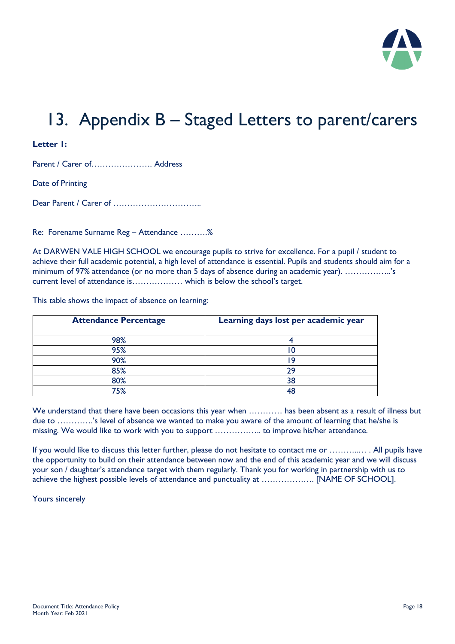

### <span id="page-18-0"></span>13. Appendix B – Staged Letters to parent/carers

#### **Letter 1:**

Parent / Carer of............................ Address

Date of Printing

Dear Parent / Carer of …………………………..

Re: Forename Surname Reg – Attendance ……….%

At DARWEN VALE HIGH SCHOOL we encourage pupils to strive for excellence. For a pupil / student to achieve their full academic potential, a high level of attendance is essential. Pupils and students should aim for a minimum of 97% attendance (or no more than 5 days of absence during an academic year). ……………..'s current level of attendance is……………… which is below the school's target.

This table shows the impact of absence on learning:

| <b>Attendance Percentage</b> | Learning days lost per academic year |
|------------------------------|--------------------------------------|
| 98%                          |                                      |
| 95%                          |                                      |
| 90%                          | o                                    |
| 85%                          | ገዓ                                   |
| 80%                          | 38                                   |
| 75%                          | 48                                   |

We understand that there have been occasions this year when ............ has been absent as a result of illness but due to ………….'s level of absence we wanted to make you aware of the amount of learning that he/she is missing. We would like to work with you to support …………….. to improve his/her attendance.

If you would like to discuss this letter further, please do not hesitate to contact me or ………..… . All pupils have the opportunity to build on their attendance between now and the end of this academic year and we will discuss your son / daughter's attendance target with them regularly. Thank you for working in partnership with us to achieve the highest possible levels of attendance and punctuality at ....................... [NAME OF SCHOOL].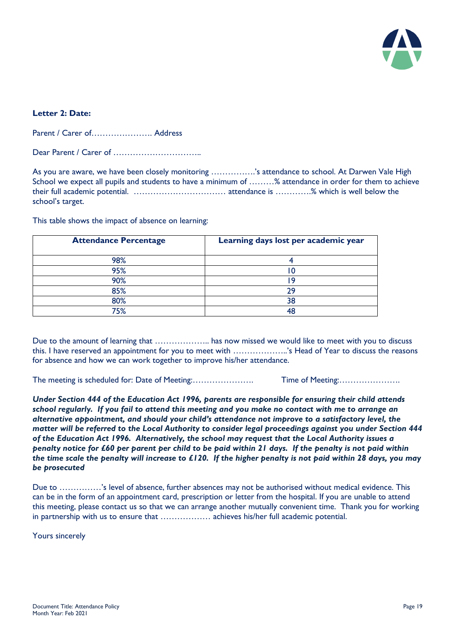

#### **Letter 2: Date:**

Parent / Carer of........................... Address

Dear Parent / Carer of …………………………..

As you are aware, we have been closely monitoring …………….'s attendance to school. At Darwen Vale High School we expect all pupils and students to have a minimum of ………% attendance in order for them to achieve their full academic potential. …………………………… attendance is ………….% which is well below the school's target.

This table shows the impact of absence on learning:

| <b>Attendance Percentage</b> | Learning days lost per academic year |
|------------------------------|--------------------------------------|
| 98%                          |                                      |
| 95%                          |                                      |
| 90%                          | o                                    |
| 85%                          | າ໑                                   |
| 80%                          | 38                                   |
| 75%                          | 48                                   |

Due to the amount of learning that ...................... has now missed we would like to meet with you to discuss this. I have reserved an appointment for you to meet with ………………..'s Head of Year to discuss the reasons for absence and how we can work together to improve his/her attendance.

The meeting is scheduled for: Date of Meeting:…………………. Time of Meeting:………………….

*Under Section 444 of the Education Act 1996, parents are responsible for ensuring their child attends school regularly. If you fail to attend this meeting and you make no contact with me to arrange an alternative appointment, and should your child's attendance not improve to a satisfactory level, the matter will be referred to the Local Authority to consider legal proceedings against you under Section 444 of the Education Act 1996. Alternatively, the school may request that the Local Authority issues a penalty notice for £60 per parent per child to be paid within 21 days. If the penalty is not paid within the time scale the penalty will increase to £120. If the higher penalty is not paid within 28 days, you may be prosecuted*

Due to ……………'s level of absence, further absences may not be authorised without medical evidence. This can be in the form of an appointment card, prescription or letter from the hospital. If you are unable to attend this meeting, please contact us so that we can arrange another mutually convenient time. Thank you for working in partnership with us to ensure that ……………… achieves his/her full academic potential.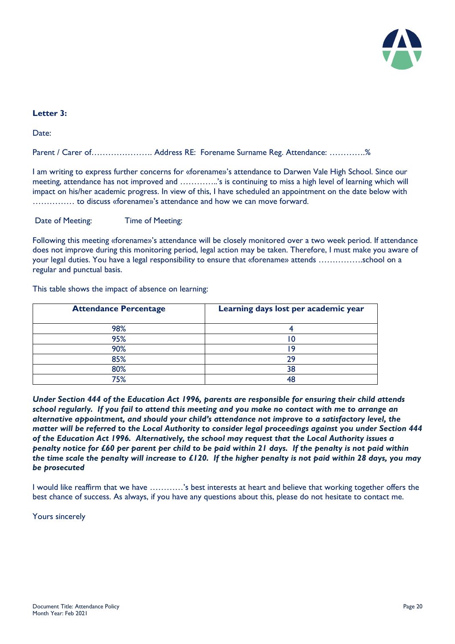

#### **Letter 3:**

Date:

Parent / Carer of…………………. Address RE: Forename Surname Reg. Attendance: ………….%

I am writing to express further concerns for «forename»'s attendance to Darwen Vale High School. Since our meeting, attendance has not improved and …………..'s is continuing to miss a high level of learning which will impact on his/her academic progress. In view of this, I have scheduled an appointment on the date below with …………… to discuss «forename»'s attendance and how we can move forward.

Date of Meeting: Time of Meeting:

Following this meeting «forename»'s attendance will be closely monitored over a two week period. If attendance does not improve during this monitoring period, legal action may be taken. Therefore, I must make you aware of your legal duties. You have a legal responsibility to ensure that «forename» attends …………….school on a regular and punctual basis.

This table shows the impact of absence on learning:

| <b>Attendance Percentage</b> | Learning days lost per academic year |
|------------------------------|--------------------------------------|
| 98%                          |                                      |
| 95%                          |                                      |
| 90%                          | O                                    |
| 85%                          | 29                                   |
| 80%                          | 38                                   |
| 75%                          | 48                                   |

*Under Section 444 of the Education Act 1996, parents are responsible for ensuring their child attends school regularly. If you fail to attend this meeting and you make no contact with me to arrange an alternative appointment, and should your child's attendance not improve to a satisfactory level, the matter will be referred to the Local Authority to consider legal proceedings against you under Section 444 of the Education Act 1996. Alternatively, the school may request that the Local Authority issues a penalty notice for £60 per parent per child to be paid within 21 days. If the penalty is not paid within the time scale the penalty will increase to £120. If the higher penalty is not paid within 28 days, you may be prosecuted*

I would like reaffirm that we have …………'s best interests at heart and believe that working together offers the best chance of success. As always, if you have any questions about this, please do not hesitate to contact me.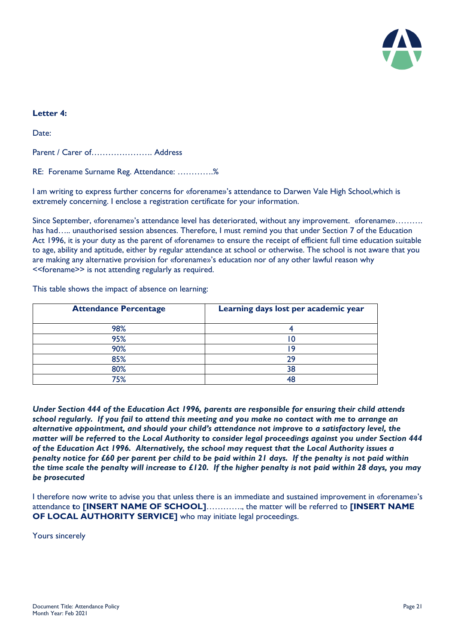

#### **Letter 4:**

Date:

Parent / Carer of…………………. Address

RE: Forename Surname Reg. Attendance: ………….%

I am writing to express further concerns for «forename»'s attendance to Darwen Vale High School,which is extremely concerning. I enclose a registration certificate for your information.

Since September, «forename»'s attendance level has deteriorated, without any improvement. «forename»………. has had….. unauthorised session absences. Therefore, I must remind you that under Section 7 of the Education Act 1996, it is your duty as the parent of «forename» to ensure the receipt of efficient full time education suitable to age, ability and aptitude, either by regular attendance at school or otherwise. The school is not aware that you are making any alternative provision for «forename»'s education nor of any other lawful reason why <<forename>> is not attending regularly as required.

This table shows the impact of absence on learning:

| <b>Attendance Percentage</b> | Learning days lost per academic year |
|------------------------------|--------------------------------------|
| 98%                          |                                      |
| 95%                          |                                      |
| 90%                          | a                                    |
| 85%                          | 29                                   |
| 80%                          | 38                                   |
| 75%                          | 48                                   |

*Under Section 444 of the Education Act 1996, parents are responsible for ensuring their child attends school regularly. If you fail to attend this meeting and you make no contact with me to arrange an alternative appointment, and should your child's attendance not improve to a satisfactory level, the matter will be referred to the Local Authority to consider legal proceedings against you under Section 444 of the Education Act 1996. Alternatively, the school may request that the Local Authority issues a penalty notice for £60 per parent per child to be paid within 21 days. If the penalty is not paid within the time scale the penalty will increase to £120. If the higher penalty is not paid within 28 days, you may be prosecuted*

I therefore now write to advise you that unless there is an immediate and sustained improvement in «forename»'s attendance **t**o **[INSERT NAME OF SCHOOL]**…………., the matter will be referred to **[INSERT NAME OF LOCAL AUTHORITY SERVICE]** who may initiate legal proceedings.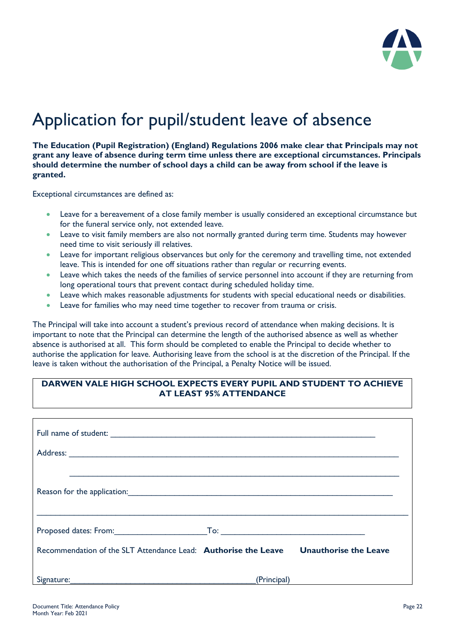

### <span id="page-22-0"></span>Application for pupil/student leave of absence

**The Education (Pupil Registration) (England) Regulations 2006 make clear that Principals may not grant any leave of absence during term time unless there are exceptional circumstances. Principals should determine the number of school days a child can be away from school if the leave is granted.**

Exceptional circumstances are defined as:

- Leave for a bereavement of a close family member is usually considered an exceptional circumstance but for the funeral service only, not extended leave.
- Leave to visit family members are also not normally granted during term time. Students may however need time to visit seriously ill relatives.
- Leave for important religious observances but only for the ceremony and travelling time, not extended leave. This is intended for one off situations rather than regular or recurring events.
- Leave which takes the needs of the families of service personnel into account if they are returning from long operational tours that prevent contact during scheduled holiday time.
- Leave which makes reasonable adjustments for students with special educational needs or disabilities.
- Leave for families who may need time together to recover from trauma or crisis.

The Principal will take into account a student's previous record of attendance when making decisions. It is important to note that the Principal can determine the length of the authorised absence as well as whether absence is authorised at all. This form should be completed to enable the Principal to decide whether to authorise the application for leave. Authorising leave from the school is at the discretion of the Principal. If the leave is taken without the authorisation of the Principal, a Penalty Notice will be issued.

#### **DARWEN VALE HIGH SCHOOL EXPECTS EVERY PUPIL AND STUDENT TO ACHIEVE AT LEAST 95% ATTENDANCE**

| Reason for the application: Manual Manual Manual Manual Manual Manual Manual Manual Manual Manual Manual Manua |             |  |
|----------------------------------------------------------------------------------------------------------------|-------------|--|
|                                                                                                                |             |  |
| Recommendation of the SLT Attendance Lead: Authorise the Leave Unauthorise the Leave                           |             |  |
| Signature:                                                                                                     | (Principal) |  |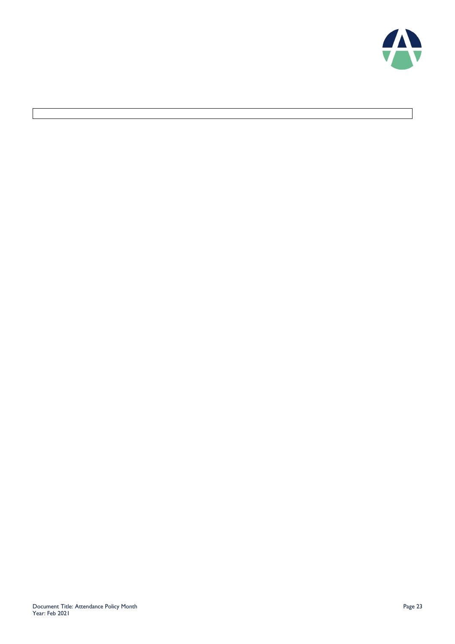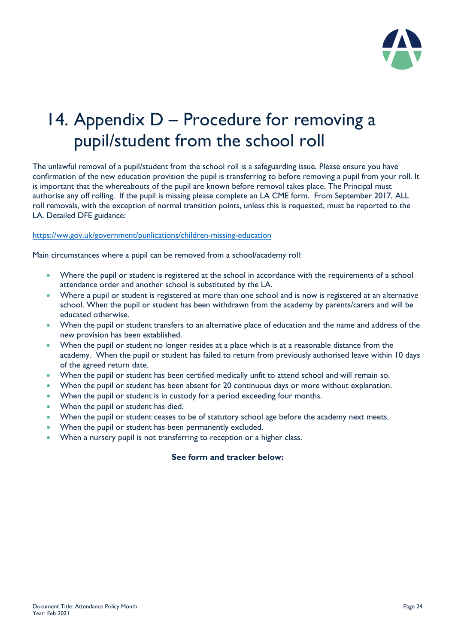

### <span id="page-24-0"></span>14. Appendix D - Procedure for removing a pupil/student from the school roll

The unlawful removal of a pupil/student from the school roll is a safeguarding issue. Please ensure you have confirmation of the new education provision the pupil is transferring to before removing a pupil from your roll. It is important that the whereabouts of the pupil are known before removal takes place. The Principal must authorise any off rolling. If the pupil is missing please complete an LA CME form. From September 2017, ALL roll removals, with the exception of normal transition points, unless this is requested, must be reported to the LA. Detailed DFE guidance:

#### <https://ww.gov.uk/government/punlications/children-missing-education>

Main circumstances where a pupil can be removed from a school/academy roll:

- Where the pupil or student is registered at the school in accordance with the requirements of a school attendance order and another school is substituted by the LA.
- Where a pupil or student is registered at more than one school and is now is registered at an alternative school. When the pupil or student has been withdrawn from the academy by parents/carers and will be educated otherwise.
- When the pupil or student transfers to an alternative place of education and the name and address of the new provision has been established.
- When the pupil or student no longer resides at a place which is at a reasonable distance from the academy. When the pupil or student has failed to return from previously authorised leave within 10 days of the agreed return date.
- When the pupil or student has been certified medically unfit to attend school and will remain so.
- When the pupil or student has been absent for 20 continuous days or more without explanation.
- When the pupil or student is in custody for a period exceeding four months.
- When the pupil or student has died.
- When the pupil or student ceases to be of statutory school age before the academy next meets.
- When the pupil or student has been permanently excluded.
- When a nursery pupil is not transferring to reception or a higher class.

#### **See form and tracker below:**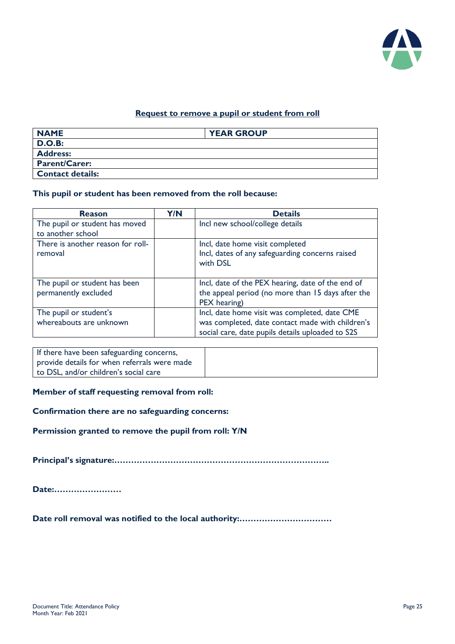

### **Request to remove a pupil or student from roll**

| <b>NAME</b>             | <b>YEAR GROUP</b> |
|-------------------------|-------------------|
| <b>D.O.B:</b>           |                   |
| <b>Address:</b>         |                   |
| <b>Parent/Carer:</b>    |                   |
| <b>Contact details:</b> |                   |
|                         |                   |

#### **This pupil or student has been removed from the roll because:**

| <b>Reason</b>                     | <b>Y/N</b> | <b>Details</b>                                              |
|-----------------------------------|------------|-------------------------------------------------------------|
| The pupil or student has moved    |            | Incl new school/college details                             |
| to another school                 |            |                                                             |
| There is another reason for roll- |            | Incl, date home visit completed                             |
| removal                           |            | Incl, dates of any safeguarding concerns raised<br>with DSL |
|                                   |            |                                                             |
| The pupil or student has been     |            | Incl, date of the PEX hearing, date of the end of           |
| permanently excluded              |            | the appeal period (no more than 15 days after the           |
|                                   |            | PEX hearing)                                                |
| The pupil or student's            |            | Incl, date home visit was completed, date CME               |
| whereabouts are unknown           |            | was completed, date contact made with children's            |
|                                   |            | social care, date pupils details uploaded to S2S            |

| If there have been safeguarding concerns,    |  |
|----------------------------------------------|--|
| provide details for when referrals were made |  |
| to DSL, and/or children's social care        |  |

#### **Member of staff requesting removal from roll:**

**Confirmation there are no safeguarding concerns:**

**Permission granted to remove the pupil from roll: Y/N**

**Principal's signature:…………………………………………………………………..**

**Date:……………………** 

**Date roll removal was notified to the local authority:……………………………**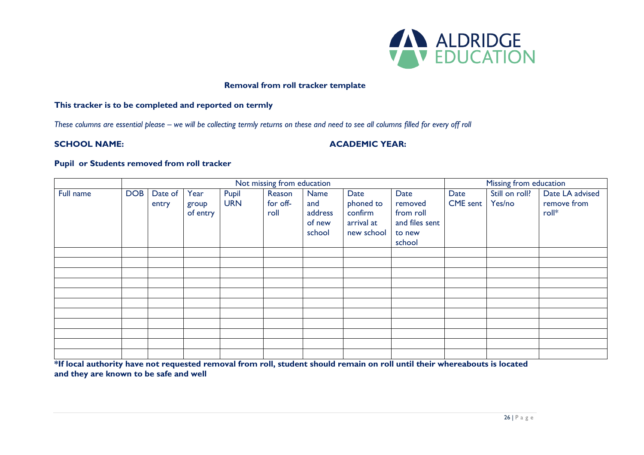

#### **Removal from roll tracker template**

#### **This tracker is to be completed and reported on termly**

*These columns are essential please – we will be collecting termly returns on these and need to see all columns filled for every off roll*

#### **SCHOOL NAME: ACADEMIC YEAR:**

#### **Pupil or Students removed from roll tracker**

|           | Not missing from education |         |          |            |          |         |            | Missing from education |                 |                |                 |
|-----------|----------------------------|---------|----------|------------|----------|---------|------------|------------------------|-----------------|----------------|-----------------|
| Full name | <b>DOB</b>                 | Date of | Year     | Pupil      | Reason   | Name    | Date       | Date                   | Date            | Still on roll? | Date LA advised |
|           |                            | entry   | group    | <b>URN</b> | for off- | and     | phoned to  | removed                | <b>CME</b> sent | Yes/no         | remove from     |
|           |                            |         | of entry |            | roll     | address | confirm    | from roll              |                 |                | roll*           |
|           |                            |         |          |            |          | of new  | arrival at | and files sent         |                 |                |                 |
|           |                            |         |          |            |          | school  | new school | to new                 |                 |                |                 |
|           |                            |         |          |            |          |         |            | school                 |                 |                |                 |
|           |                            |         |          |            |          |         |            |                        |                 |                |                 |
|           |                            |         |          |            |          |         |            |                        |                 |                |                 |
|           |                            |         |          |            |          |         |            |                        |                 |                |                 |
|           |                            |         |          |            |          |         |            |                        |                 |                |                 |
|           |                            |         |          |            |          |         |            |                        |                 |                |                 |
|           |                            |         |          |            |          |         |            |                        |                 |                |                 |
|           |                            |         |          |            |          |         |            |                        |                 |                |                 |
|           |                            |         |          |            |          |         |            |                        |                 |                |                 |
|           |                            |         |          |            |          |         |            |                        |                 |                |                 |
|           |                            |         |          |            |          |         |            |                        |                 |                |                 |
|           |                            |         |          |            |          |         |            |                        |                 |                |                 |

**\*If local authority have not requested removal from roll, student should remain on roll until their whereabouts is located and they are known to be safe and well**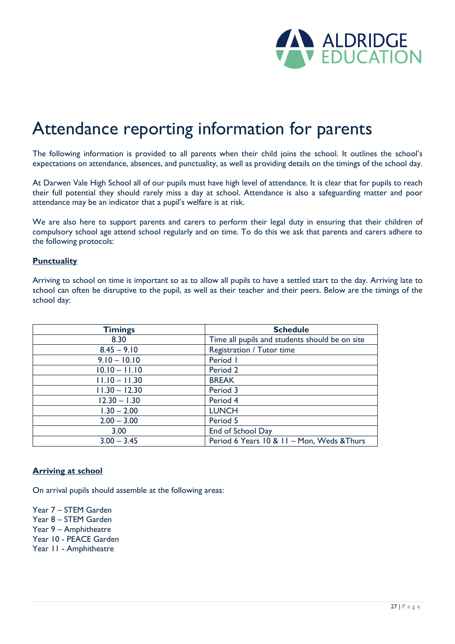

### <span id="page-27-0"></span>Attendance reporting information for parents

The following information is provided to all parents when their child joins the school. It outlines the school's expectations on attendance, absences, and punctuality, as well as providing details on the timings of the school day.

At Darwen Vale High School all of our pupils must have high level of attendance. It is clear that for pupils to reach their full potential they should rarely miss a day at school. Attendance is also a safeguarding matter and poor attendance may be an indicator that a pupil's welfare is at risk.

We are also here to support parents and carers to perform their legal duty in ensuring that their children of compulsory school age attend school regularly and on time. To do this we ask that parents and carers adhere to the following protocols:

#### **Punctuality**

Arriving to school on time is important so as to allow all pupils to have a settled start to the day. Arriving late to school can often be disruptive to the pupil, as well as their teacher and their peers. Below are the timings of the school day:

| <b>Timings</b>  | <b>Schedule</b>                                |
|-----------------|------------------------------------------------|
| 8.30            | Time all pupils and students should be on site |
| $8.45 - 9.10$   | Registration / Tutor time                      |
| $9.10 - 10.10$  | Period I                                       |
| $10.10 - 11.10$ | Period 2                                       |
| $11.10 - 11.30$ | <b>BREAK</b>                                   |
| $11.30 - 12.30$ | Period 3                                       |
| $12.30 - 1.30$  | Period 4                                       |
| $1.30 - 2.00$   | <b>LUNCH</b>                                   |
| $2.00 - 3.00$   | Period 5                                       |
| 3.00            | End of School Day                              |
| $3.00 - 3.45$   | Period 6 Years 10 & 11 - Mon, Weds & Thurs     |

#### **Arriving at school**

On arrival pupils should assemble at the following areas:

Year 7 – STEM Garden

- Year 8 STEM Garden
- Year 9 Amphitheatre
- Year 10 PEACE Garden
- Year 11 Amphitheatre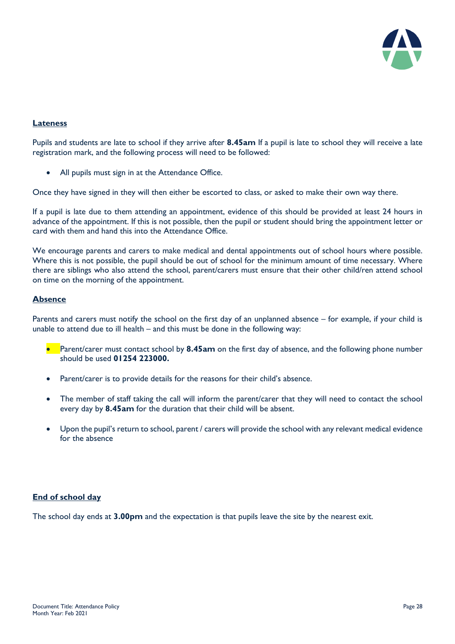

#### **Lateness**

Pupils and students are late to school if they arrive after **8.45am** If a pupil is late to school they will receive a late registration mark, and the following process will need to be followed:

All pupils must sign in at the Attendance Office.

Once they have signed in they will then either be escorted to class, or asked to make their own way there.

If a pupil is late due to them attending an appointment, evidence of this should be provided at least 24 hours in advance of the appointment. If this is not possible, then the pupil or student should bring the appointment letter or card with them and hand this into the Attendance Office.

We encourage parents and carers to make medical and dental appointments out of school hours where possible. Where this is not possible, the pupil should be out of school for the minimum amount of time necessary. Where there are siblings who also attend the school, parent/carers must ensure that their other child/ren attend school on time on the morning of the appointment.

#### **Absence**

Parents and carers must notify the school on the first day of an unplanned absence – for example, if your child is unable to attend due to ill health – and this must be done in the following way:

- Parent/carer must contact school by **8.45am** on the first day of absence, and the following phone number should be used **01254 223000.**
- Parent/carer is to provide details for the reasons for their child's absence.
- The member of staff taking the call will inform the parent/carer that they will need to contact the school every day by **8.45am** for the duration that their child will be absent.
- Upon the pupil's return to school, parent / carers will provide the school with any relevant medical evidence for the absence

#### **End of school day**

The school day ends at **3.00pm** and the expectation is that pupils leave the site by the nearest exit.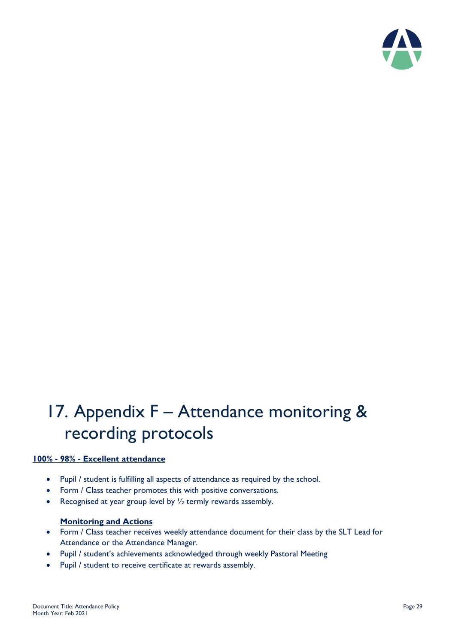

### <span id="page-29-0"></span>17. Appendix F - Attendance monitoring & recording protocols

#### **100% - 98% - Excellent attendance**

- Pupil / student is fulfilling all aspects of attendance as required by the school.
- Form / Class teacher promotes this with positive conversations.
- Recognised at year group level by  $\frac{1}{2}$  termly rewards assembly.

- Form / Class teacher receives weekly attendance document for their class by the SLT Lead for Attendance or the Attendance Manager.
- Pupil / student's achievements acknowledged through weekly Pastoral Meeting
- Pupil / student to receive certificate at rewards assembly.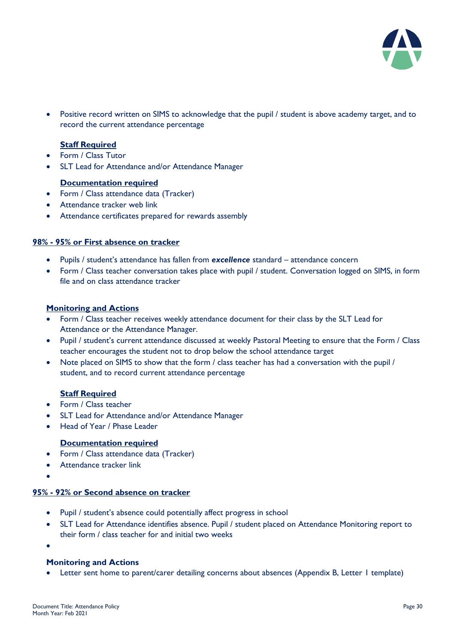

• Positive record written on SIMS to acknowledge that the pupil / student is above academy target, and to record the current attendance percentage

#### **Staff Required**

- Form / Class Tutor
- SLT Lead for Attendance and/or Attendance Manager

#### **Documentation required**

- Form / Class attendance data (Tracker)
- Attendance tracker web link
- Attendance certificates prepared for rewards assembly

#### **98% - 95% or First absence on tracker**

- Pupils / student's attendance has fallen from *excellence* standard attendance concern
- Form / Class teacher conversation takes place with pupil / student. Conversation logged on SIMS, in form file and on class attendance tracker

#### **Monitoring and Actions**

- Form / Class teacher receives weekly attendance document for their class by the SLT Lead for Attendance or the Attendance Manager.
- Pupil / student's current attendance discussed at weekly Pastoral Meeting to ensure that the Form / Class teacher encourages the student not to drop below the school attendance target
- Note placed on SIMS to show that the form / class teacher has had a conversation with the pupil / student, and to record current attendance percentage

#### **Staff Required**

- Form / Class teacher
- SLT Lead for Attendance and/or Attendance Manager
- Head of Year / Phase Leader

#### **Documentation required**

- Form / Class attendance data (Tracker)
- Attendance tracker link
- •

#### **95% - 92% or Second absence on tracker**

- Pupil / student's absence could potentially affect progress in school
- SLT Lead for Attendance identifies absence. Pupil / student placed on Attendance Monitoring report to their form / class teacher for and initial two weeks
- •

#### **Monitoring and Actions**

Letter sent home to parent/carer detailing concerns about absences (Appendix B, Letter 1 template)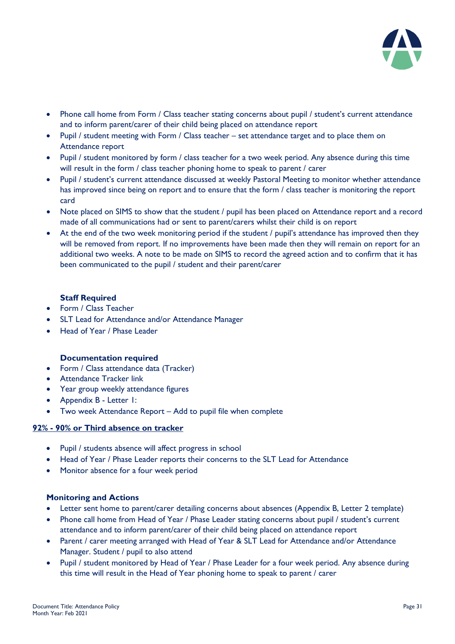

- Phone call home from Form / Class teacher stating concerns about pupil / student's current attendance and to inform parent/carer of their child being placed on attendance report
- Pupil / student meeting with Form / Class teacher set attendance target and to place them on Attendance report
- Pupil / student monitored by form / class teacher for a two week period. Any absence during this time will result in the form / class teacher phoning home to speak to parent / carer
- Pupil / student's current attendance discussed at weekly Pastoral Meeting to monitor whether attendance has improved since being on report and to ensure that the form / class teacher is monitoring the report card
- Note placed on SIMS to show that the student / pupil has been placed on Attendance report and a record made of all communications had or sent to parent/carers whilst their child is on report
- At the end of the two week monitoring period if the student / pupil's attendance has improved then they will be removed from report. If no improvements have been made then they will remain on report for an additional two weeks. A note to be made on SIMS to record the agreed action and to confirm that it has been communicated to the pupil / student and their parent/carer

#### **Staff Required**

- Form / Class Teacher
- SLT Lead for Attendance and/or Attendance Manager
- Head of Year / Phase Leader

#### **Documentation required**

- Form / Class attendance data (Tracker)
- Attendance Tracker link
- Year group weekly attendance figures
- Appendix B Letter 1:
- Two week Attendance Report Add to pupil file when complete

#### **92% - 90% or Third absence on tracker**

- Pupil / students absence will affect progress in school
- Head of Year / Phase Leader reports their concerns to the SLT Lead for Attendance
- Monitor absence for a four week period

- Letter sent home to parent/carer detailing concerns about absences (Appendix B, Letter 2 template)
- Phone call home from Head of Year / Phase Leader stating concerns about pupil / student's current attendance and to inform parent/carer of their child being placed on attendance report
- Parent / carer meeting arranged with Head of Year & SLT Lead for Attendance and/or Attendance Manager. Student / pupil to also attend
- Pupil / student monitored by Head of Year / Phase Leader for a four week period. Any absence during this time will result in the Head of Year phoning home to speak to parent / carer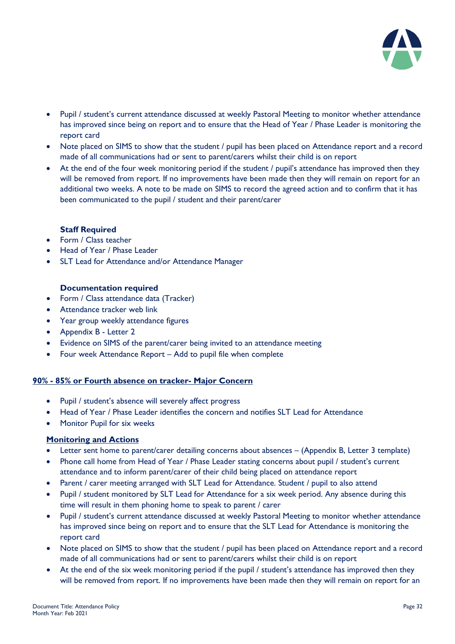

- Pupil / student's current attendance discussed at weekly Pastoral Meeting to monitor whether attendance has improved since being on report and to ensure that the Head of Year / Phase Leader is monitoring the report card
- Note placed on SIMS to show that the student / pupil has been placed on Attendance report and a record made of all communications had or sent to parent/carers whilst their child is on report
- At the end of the four week monitoring period if the student / pupil's attendance has improved then they will be removed from report. If no improvements have been made then they will remain on report for an additional two weeks. A note to be made on SIMS to record the agreed action and to confirm that it has been communicated to the pupil / student and their parent/carer

#### **Staff Required**

- Form / Class teacher
- Head of Year / Phase Leader
- SLT Lead for Attendance and/or Attendance Manager

#### **Documentation required**

- Form / Class attendance data (Tracker)
- Attendance tracker web link
- Year group weekly attendance figures
- Appendix B Letter 2
- Evidence on SIMS of the parent/carer being invited to an attendance meeting
- Four week Attendance Report Add to pupil file when complete

#### **90% - 85% or Fourth absence on tracker- Major Concern**

- Pupil / student's absence will severely affect progress
- Head of Year / Phase Leader identifies the concern and notifies SLT Lead for Attendance
- Monitor Pupil for six weeks

- Letter sent home to parent/carer detailing concerns about absences (Appendix B, Letter 3 template)
- Phone call home from Head of Year / Phase Leader stating concerns about pupil / student's current attendance and to inform parent/carer of their child being placed on attendance report
- Parent / carer meeting arranged with SLT Lead for Attendance. Student / pupil to also attend
- Pupil / student monitored by SLT Lead for Attendance for a six week period. Any absence during this time will result in them phoning home to speak to parent / carer
- Pupil / student's current attendance discussed at weekly Pastoral Meeting to monitor whether attendance has improved since being on report and to ensure that the SLT Lead for Attendance is monitoring the report card
- Note placed on SIMS to show that the student / pupil has been placed on Attendance report and a record made of all communications had or sent to parent/carers whilst their child is on report
- At the end of the six week monitoring period if the pupil / student's attendance has improved then they will be removed from report. If no improvements have been made then they will remain on report for an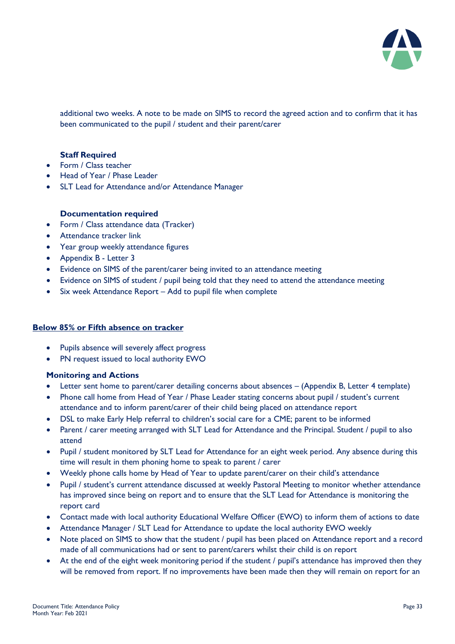

additional two weeks. A note to be made on SIMS to record the agreed action and to confirm that it has been communicated to the pupil / student and their parent/carer

#### **Staff Required**

- Form / Class teacher
- Head of Year / Phase Leader
- SLT Lead for Attendance and/or Attendance Manager

#### **Documentation required**

- Form / Class attendance data (Tracker)
- Attendance tracker link
- Year group weekly attendance figures
- Appendix B Letter 3
- Evidence on SIMS of the parent/carer being invited to an attendance meeting
- Evidence on SIMS of student / pupil being told that they need to attend the attendance meeting
- Six week Attendance Report Add to pupil file when complete

#### **Below 85% or Fifth absence on tracker**

- Pupils absence will severely affect progress
- PN request issued to local authority EWO

- Letter sent home to parent/carer detailing concerns about absences (Appendix B, Letter 4 template)
- Phone call home from Head of Year / Phase Leader stating concerns about pupil / student's current attendance and to inform parent/carer of their child being placed on attendance report
- DSL to make Early Help referral to children's social care for a CME; parent to be informed
- Parent / carer meeting arranged with SLT Lead for Attendance and the Principal. Student / pupil to also attend
- Pupil / student monitored by SLT Lead for Attendance for an eight week period. Any absence during this time will result in them phoning home to speak to parent / carer
- Weekly phone calls home by Head of Year to update parent/carer on their child's attendance
- Pupil / student's current attendance discussed at weekly Pastoral Meeting to monitor whether attendance has improved since being on report and to ensure that the SLT Lead for Attendance is monitoring the report card
- Contact made with local authority Educational Welfare Officer (EWO) to inform them of actions to date
- Attendance Manager / SLT Lead for Attendance to update the local authority EWO weekly
- Note placed on SIMS to show that the student / pupil has been placed on Attendance report and a record made of all communications had or sent to parent/carers whilst their child is on report
- At the end of the eight week monitoring period if the student / pupil's attendance has improved then they will be removed from report. If no improvements have been made then they will remain on report for an